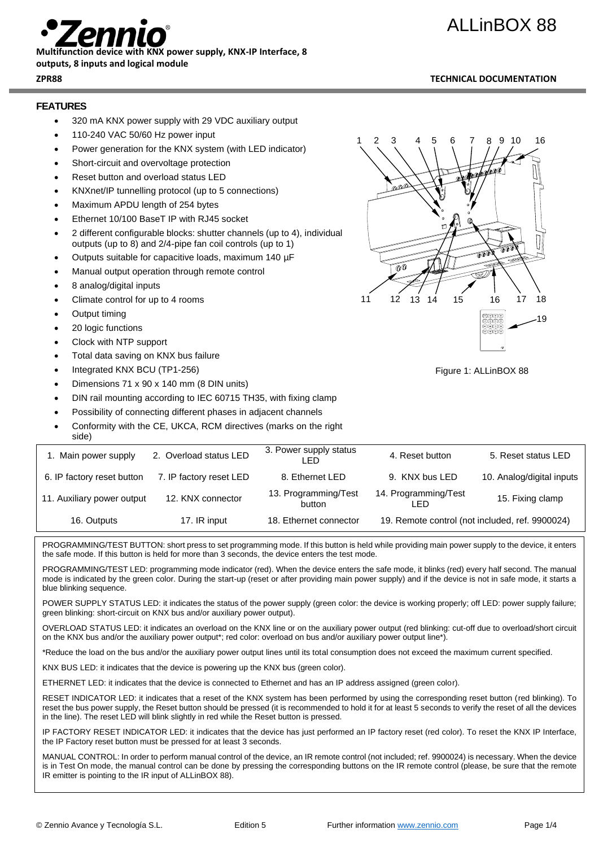## ALLinBOX 88



### **Multifunction device with KNX power supply, KNX-IP Interface, 8**

#### **outputs, 8 inputs and logical module**

#### **ZPR88 TECHNICAL DOCUMENTATION**

#### **FEATURES**

- 320 mA KNX power supply with 29 VDC auxiliary output
- 110-240 VAC 50/60 Hz power input
- Power generation for the KNX system (with LED indicator)
- Short-circuit and overvoltage protection
- Reset button and overload status LED
- KNXnet/IP tunnelling protocol (up to 5 connections)
- Maximum APDU length of 254 bytes
- Ethernet 10/100 BaseT IP with RJ45 socket
- 2 different configurable blocks: shutter channels (up to 4), individual outputs (up to 8) and 2/4-pipe fan coil controls (up to 1)
- Outputs suitable for capacitive loads, maximum 140 µF
- Manual output operation through remote control
- 8 analog/digital inputs
- Climate control for up to 4 rooms
- Output timing
- 20 logic functions
- Clock with NTP support
- Total data saving on KNX bus failure
- Integrated KNX BCU (TP1-256)
- Dimensions 71 x 90 x 140 mm (8 DIN units)
- DIN rail mounting according to IEC 60715 TH35, with fixing clamp
- Possibility of connecting different phases in adjacent channels
- Conformity with the CE, UKCA, RCM directives (marks on the right side)

| 1. Main power supply       | 2. Overload status LED  | 3. Power supply status<br>LED  | 4. Reset button             | 5. Reset status LED                             |
|----------------------------|-------------------------|--------------------------------|-----------------------------|-------------------------------------------------|
| 6. IP factory reset button | 7. IP factory reset LED | 8. Ethernet LED                | 9. KNX bus LED              | 10. Analog/digital inputs                       |
| 11. Auxiliary power output | 12. KNX connector       | 13. Programming/Test<br>button | 14. Programming/Test<br>LED | 15. Fixing clamp                                |
| 16. Outputs                | 17. IR input            | 18. Ethernet connector         |                             | 19. Remote control (not included, ref. 9900024) |

PROGRAMMING/TEST BUTTON: short press to set programming mode. If this button is held while providing main power supply to the device, it enters the safe mode. If this button is held for more than 3 seconds, the device enters the test mode.

PROGRAMMING/TEST LED: programming mode indicator (red). When the device enters the safe mode, it blinks (red) every half second. The manual mode is indicated by the green color. During the start-up (reset or after providing main power supply) and if the device is not in safe mode, it starts a blue blinking sequence.

POWER SUPPLY STATUS LED: it indicates the status of the power supply (green color: the device is working properly; off LED: power supply failure; green blinking: short-circuit on KNX bus and/or auxiliary power output).

OVERLOAD STATUS LED: it indicates an overload on the KNX line or on the auxiliary power output (red blinking: cut-off due to overload/short circuit on the KNX bus and/or the auxiliary power output\*; red color: overload on bus and/or auxiliary power output line\*).

\*Reduce the load on the bus and/or the auxiliary power output lines until its total consumption does not exceed the maximum current specified.

KNX BUS LED: it indicates that the device is powering up the KNX bus (green color).

ETHERNET LED: it indicates that the device is connected to Ethernet and has an IP address assigned (green color).

RESET INDICATOR LED: it indicates that a reset of the KNX system has been performed by using the corresponding reset button (red blinking). To reset the bus power supply, the Reset button should be pressed (it is recommended to hold it for at least 5 seconds to verify the reset of all the devices in the line). The reset LED will blink slightly in red while the Reset button is pressed.

IP FACTORY RESET INDICATOR LED: it indicates that the device has just performed an IP factory reset (red color). To reset the KNX IP Interface, the IP Factory reset button must be pressed for at least 3 seconds.

MANUAL CONTROL: In order to perform manual control of the device, an IR remote control (not included; ref. 9900024) is necessary. When the device is in Test On mode, the manual control can be done by pressing the corresponding buttons on the IR remote control (please, be sure that the remote IR emitter is pointing to the IR input of ALLinBOX 88).



Figure 1: ALLinBOX 88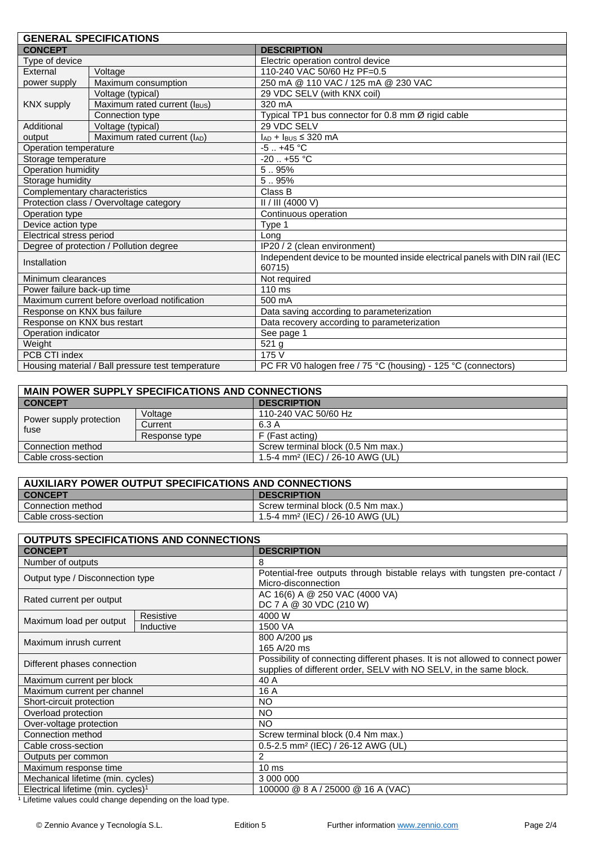|                                                   | <b>GENERAL SPECIFICATIONS</b>           |                                                                                        |
|---------------------------------------------------|-----------------------------------------|----------------------------------------------------------------------------------------|
| <b>CONCEPT</b>                                    |                                         | <b>DESCRIPTION</b>                                                                     |
| Type of device                                    |                                         | Electric operation control device                                                      |
| External                                          | Voltage                                 | 110-240 VAC 50/60 Hz PF=0.5                                                            |
| power supply                                      | Maximum consumption                     | 250 mA @ 110 VAC / 125 mA @ 230 VAC                                                    |
|                                                   | Voltage (typical)                       | 29 VDC SELV (with KNX coil)                                                            |
| <b>KNX supply</b>                                 | Maximum rated current (IBUS)            | 320 mA                                                                                 |
|                                                   | Connection type                         | Typical TP1 bus connector for 0.8 mm Ø rigid cable                                     |
| Additional                                        | Voltage (typical)                       | 29 VDC SELV                                                                            |
| output                                            | Maximum rated current (IAD)             | $I_{AD}$ + $I_{BUS}$ ≤ 320 mA                                                          |
| Operation temperature                             |                                         | $-5.1 + 45$ °C                                                                         |
| Storage temperature                               |                                         | $-20$ $+55^{\circ}$ C                                                                  |
| Operation humidity                                |                                         | 5.95%                                                                                  |
| Storage humidity                                  |                                         | 5.95%                                                                                  |
| Complementary characteristics                     |                                         | Class B                                                                                |
|                                                   | Protection class / Overvoltage category | II / III (4000 V)                                                                      |
| Operation type                                    |                                         | Continuous operation                                                                   |
| Device action type                                |                                         | Type 1                                                                                 |
| Electrical stress period                          |                                         | Long                                                                                   |
| Degree of protection / Pollution degree           |                                         | IP20 / 2 (clean environment)                                                           |
| Installation                                      |                                         | Independent device to be mounted inside electrical panels with DIN rail (IEC<br>60715) |
| Minimum clearances                                |                                         | Not required                                                                           |
| Power failure back-up time                        |                                         | 110 ms                                                                                 |
| Maximum current before overload notification      |                                         | 500 mA                                                                                 |
| Response on KNX bus failure                       |                                         | Data saving according to parameterization                                              |
| Response on KNX bus restart                       |                                         | Data recovery according to parameterization                                            |
| Operation indicator                               |                                         | See page 1                                                                             |
| Weight                                            |                                         | 521 g                                                                                  |
| PCB CTI index                                     |                                         | 175 V                                                                                  |
| Housing material / Ball pressure test temperature |                                         | PC FR V0 halogen free / 75 °C (housing) - 125 °C (connectors)                          |

| <b>MAIN POWER SUPPLY SPECIFICATIONS AND CONNECTIONS</b> |               |                                              |  |  |
|---------------------------------------------------------|---------------|----------------------------------------------|--|--|
| <b>CONCEPT</b>                                          |               | <b>DESCRIPTION</b>                           |  |  |
| Power supply protection<br>fuse                         | Voltage       | 110-240 VAC 50/60 Hz                         |  |  |
|                                                         | Current       | 6.3 A                                        |  |  |
|                                                         | Response type | F (Fast acting)                              |  |  |
| Connection method                                       |               | Screw terminal block (0.5 Nm max.)           |  |  |
| Cable cross-section                                     |               | 1.5-4 mm <sup>2</sup> (IEC) / 26-10 AWG (UL) |  |  |
|                                                         |               |                                              |  |  |

| AUXILIARY POWER OUTPUT SPECIFICATIONS AND CONNECTIONS |                                              |  |
|-------------------------------------------------------|----------------------------------------------|--|
| <b>CONCEPT</b>                                        | <b>DESCRIPTION</b>                           |  |
| Connection method                                     | Screw terminal block (0.5 Nm max.)           |  |
| Cable cross-section                                   | 1.5-4 mm <sup>2</sup> (IEC) / 26-10 AWG (UL) |  |

| <b>OUTPUTS SPECIFICATIONS AND CONNECTIONS</b>  |           |                                                                                |  |
|------------------------------------------------|-----------|--------------------------------------------------------------------------------|--|
| <b>CONCEPT</b>                                 |           | <b>DESCRIPTION</b>                                                             |  |
| Number of outputs                              |           | 8                                                                              |  |
| Output type / Disconnection type               |           | Potential-free outputs through bistable relays with tungsten pre-contact /     |  |
|                                                |           | Micro-disconnection                                                            |  |
| Rated current per output                       |           | AC 16(6) A @ 250 VAC (4000 VA)                                                 |  |
|                                                |           | DC 7 A @ 30 VDC (210 W)                                                        |  |
| Maximum load per output                        | Resistive | 4000 W                                                                         |  |
|                                                | Inductive | 1500 VA                                                                        |  |
| Maximum inrush current                         |           | 800 A/200 µs                                                                   |  |
|                                                |           | 165 A/20 ms                                                                    |  |
|                                                |           | Possibility of connecting different phases. It is not allowed to connect power |  |
| Different phases connection                    |           | supplies of different order, SELV with NO SELV, in the same block.             |  |
| Maximum current per block                      |           | 40 A                                                                           |  |
| Maximum current per channel                    |           | 16 A                                                                           |  |
| Short-circuit protection                       |           | NO.                                                                            |  |
| Overload protection                            |           | <b>NO</b>                                                                      |  |
| Over-voltage protection                        |           | <b>NO</b>                                                                      |  |
| Connection method                              |           | Screw terminal block (0.4 Nm max.)                                             |  |
| Cable cross-section                            |           | 0.5-2.5 mm <sup>2</sup> (IEC) / 26-12 AWG (UL)                                 |  |
| Outputs per common                             |           | 2                                                                              |  |
| Maximum response time                          |           | 10 <sub>ms</sub>                                                               |  |
| Mechanical lifetime (min. cycles)              |           | 3 000 000                                                                      |  |
| Electrical lifetime (min. cycles) <sup>1</sup> |           | 100000 @ 8 A / 25000 @ 16 A (VAC)                                              |  |

1 Lifetime values could change depending on the load type.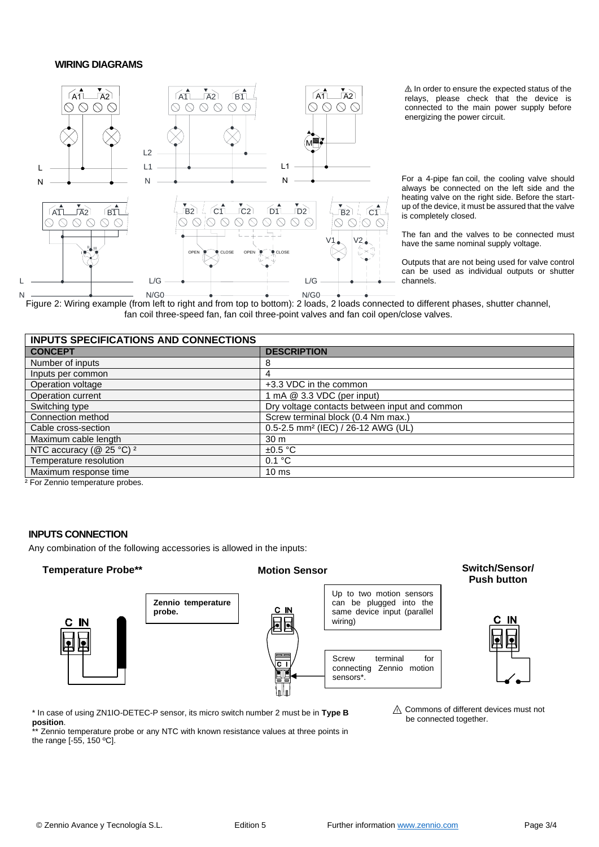#### **WIRING DIAGRAMS**



⚠ In order to ensure the expected status of the relays, please check that the device is connected to the main power supply before energizing the power circuit.

For a 4-pipe fan coil, the cooling valve should always be connected on the left side and the heating valve on the right side. Before the startup of the device, it must be assured that the valve is completely closed.

The fan and the valves to be connected must have the same nominal supply voltage.

Outputs that are not being used for valve control can be used as individual outputs or shutter channels.

Figure 2: Wiring example (from left to right and from top to bottom): 2 loads, 2 loads connected to different phases, shutter channel, fan coil three-speed fan, fan coil three-point valves and fan coil open/close valves.

| INPUTS SPECIFICATIONS AND CONNECTIONS |                                                |  |
|---------------------------------------|------------------------------------------------|--|
| <b>CONCEPT</b>                        | <b>DESCRIPTION</b>                             |  |
| Number of inputs                      |                                                |  |
| Inputs per common                     |                                                |  |
| Operation voltage                     | +3.3 VDC in the common                         |  |
| Operation current                     | 1 mA @ 3.3 VDC (per input)                     |  |
| Switching type                        | Dry voltage contacts between input and common  |  |
| Connection method                     | Screw terminal block (0.4 Nm max.)             |  |
| Cable cross-section                   | 0.5-2.5 mm <sup>2</sup> (IEC) / 26-12 AWG (UL) |  |
| Maximum cable length                  | 30 m                                           |  |
| NTC accuracy (@ 25 °C) <sup>2</sup>   | $\pm 0.5$ °C                                   |  |
| Temperature resolution                | 0.1 °C                                         |  |
| Maximum response time                 | 10 <sub>ms</sub>                               |  |

² For Zennio temperature probes.

N

#### **INPUTS CONNECTION**

Any combination of the following accessories is allowed in the inputs:

### **Temperature Probe\*\* Motion Sensor Switch/Sensor/**





# **Push button**



\* In case of using ZN1IO-DETEC-P sensor, its micro switch number 2 must be in **Type B position**.

Zennio temperature probe or any NTC with known resistance values at three points in the range [-55, 150 ºC].

⚠ Commons of different devices must not be connected together.